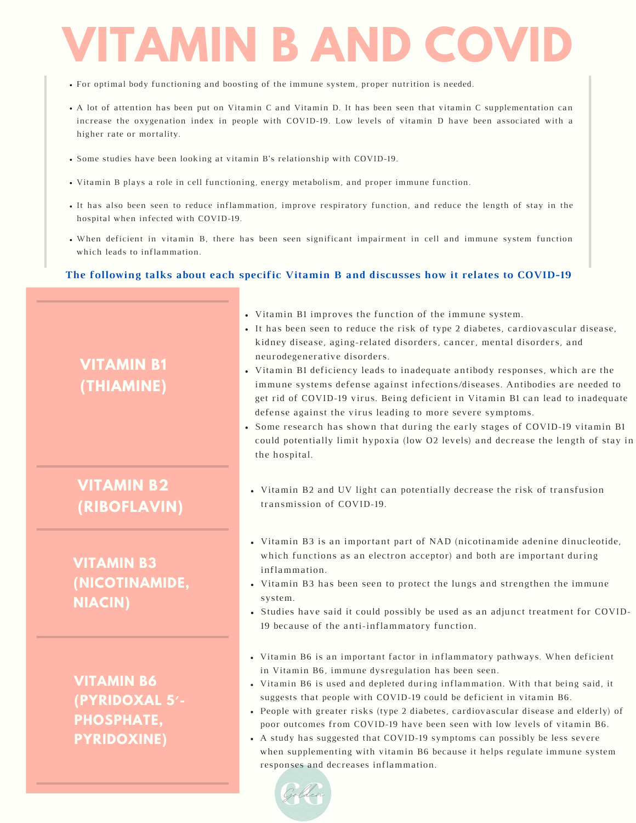# **VITAMIN B AND COV**

- For optimal body functioning and boosting of the immune system, proper nutrition is needed.
- A lot of attention has been put on Vitamin C and Vitamin D. It has been seen that vitamin C supplementation can increase the oxygenation index in people with COVID-19. Low levels of vitamin D have been associated with a higher rate or mortality.
- Some studies have been looking at vitamin B's relationship with COVID-19.
- Vitamin B plays a role in cell functioning, energy metabolism, and proper immune function.
- It has also been seen to reduce inflammation, improve respiratory function, and reduce the length of stay in the hospital when infected with COVID-19.
- When deficient in vitamin B, there has been seen significant impairment in cell and immune system function which leads to inflammation.

#### **The following talks about each specific Vitamin B and discusses how it relates to COVID-19**

### **VITAMIN B1 (THIAMINE)**

### **VITAMIN B2 (RIBOFLAVIN)**

#### **VITAMIN B3 (NICOTINAMIDE, NIACIN)**

**VITAMIN B6 (PYRIDOXAL 5′- PHOSPHATE, PYRIDOXINE)**

- Vitamin B1 improves the function of the immune system.
- It has been seen to reduce the risk of type 2 diabetes, cardiovascular disease, kidney disease, aging-related disorders, cancer, mental disorders, and neurodegenerative disorders.
- Vitamin B1 deficiency leads to inadequate antibody responses, which are the immune systems defense against infections/diseases. Antibodies are needed to get rid of COVID-19 virus. Being deficient in Vitamin B1 can lead to inadequate defense against the virus leading to more severe symptoms.
- Some research has shown that during the early stages of COVID-19 vitamin B1 could potentially limit hypoxia (low O2 levels) and decrease the length of stay in the hospital.
- Vitamin B2 and UV light can potentially decrease the risk of transfusion transmission of COVID-19.
- Vitamin B3 is an important part of NAD (nicotinamide adenine dinucleotide, which functions as an electron acceptor) and both are important during inflammation.
- Vitamin B3 has been seen to protect the lungs and strengthen the immune system.
- Studies have said it could possibly be used as an adjunct treatment for COVID-19 because of the anti-inflammatory function.
- Vitamin B6 is an important factor in inflammatory pathways. When deficient in Vitamin B6, immune dysregulation has been seen.
- Vitamin B6 is used and depleted during inflammation. With that being said, it suggests that people with COVID-19 could be deficient in vitamin B6.
- People with greater risks (type 2 diabetes, cardiovascular disease and elderly) of poor outcomes from COVID-19 have been seen with low levels of vitamin B6.
- A study has suggested that COVID-19 symptoms can possibly be less severe when supplementing with vitamin B6 because it helps regulate immune system responses and decreases inflammation.